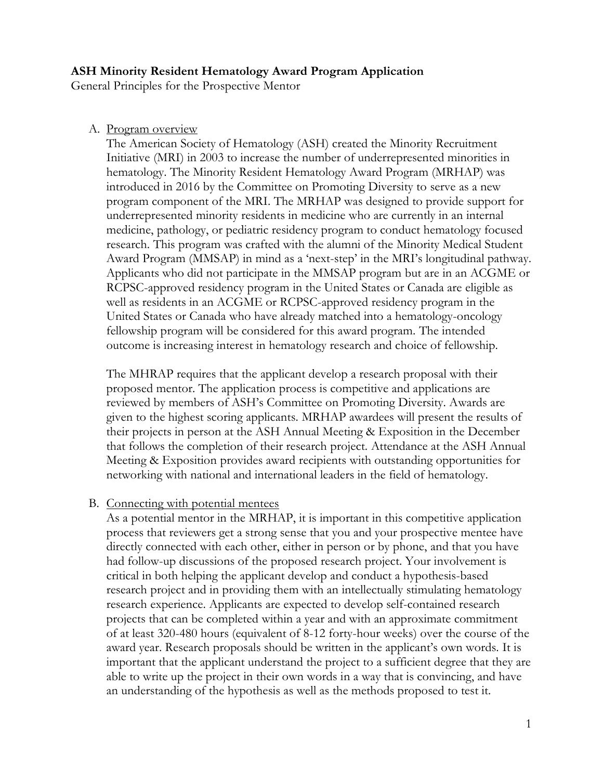#### **ASH Minority Resident Hematology Award Program Application**

General Principles for the Prospective Mentor

A. Program overview

The American Society of Hematology (ASH) created the Minority Recruitment Initiative (MRI) in 2003 to increase the number of underrepresented minorities in hematology. The Minority Resident Hematology Award Program (MRHAP) was introduced in 2016 by the Committee on Promoting Diversity to serve as a new program component of the MRI. The MRHAP was designed to provide support for underrepresented minority residents in medicine who are currently in an internal medicine, pathology, or pediatric residency program to conduct hematology focused research. This program was crafted with the alumni of the Minority Medical Student Award Program (MMSAP) in mind as a 'next-step' in the MRI's longitudinal pathway. Applicants who did not participate in the MMSAP program but are in an ACGME or RCPSC-approved residency program in the United States or Canada are eligible as well as residents in an ACGME or RCPSC-approved residency program in the United States or Canada who have already matched into a hematology-oncology fellowship program will be considered for this award program. The intended outcome is increasing interest in hematology research and choice of fellowship.

The MHRAP requires that the applicant develop a research proposal with their proposed mentor. The application process is competitive and applications are reviewed by members of ASH's Committee on Promoting Diversity. Awards are given to the highest scoring applicants. MRHAP awardees will present the results of their projects in person at the ASH Annual Meeting & Exposition in the December that follows the completion of their research project. Attendance at the ASH Annual Meeting & Exposition provides award recipients with outstanding opportunities for networking with national and international leaders in the field of hematology.

## B. Connecting with potential mentees

As a potential mentor in the MRHAP, it is important in this competitive application process that reviewers get a strong sense that you and your prospective mentee have directly connected with each other, either in person or by phone, and that you have had follow-up discussions of the proposed research project. Your involvement is critical in both helping the applicant develop and conduct a hypothesis-based research project and in providing them with an intellectually stimulating hematology research experience. Applicants are expected to develop self-contained research projects that can be completed within a year and with an approximate commitment of at least 320-480 hours (equivalent of 8-12 forty-hour weeks) over the course of the award year. Research proposals should be written in the applicant's own words. It is important that the applicant understand the project to a sufficient degree that they are able to write up the project in their own words in a way that is convincing, and have an understanding of the hypothesis as well as the methods proposed to test it.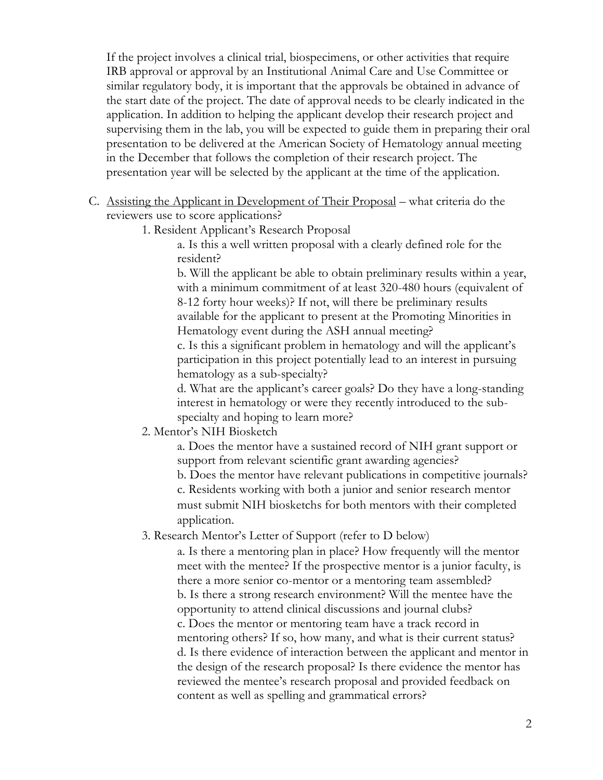If the project involves a clinical trial, biospecimens, or other activities that require IRB approval or approval by an Institutional Animal Care and Use Committee or similar regulatory body, it is important that the approvals be obtained in advance of the start date of the project. The date of approval needs to be clearly indicated in the application. In addition to helping the applicant develop their research project and supervising them in the lab, you will be expected to guide them in preparing their oral presentation to be delivered at the American Society of Hematology annual meeting in the December that follows the completion of their research project. The presentation year will be selected by the applicant at the time of the application.

- C. Assisting the Applicant in Development of Their Proposal what criteria do the reviewers use to score applications?
	- 1. Resident Applicant's Research Proposal

a. Is this a well written proposal with a clearly defined role for the resident?

b. Will the applicant be able to obtain preliminary results within a year, with a minimum commitment of at least 320-480 hours (equivalent of 8-12 forty hour weeks)? If not, will there be preliminary results available for the applicant to present at the Promoting Minorities in Hematology event during the ASH annual meeting?

c. Is this a significant problem in hematology and will the applicant's participation in this project potentially lead to an interest in pursuing hematology as a sub-specialty?

d. What are the applicant's career goals? Do they have a long-standing interest in hematology or were they recently introduced to the subspecialty and hoping to learn more?

2. Mentor's NIH Biosketch

a. Does the mentor have a sustained record of NIH grant support or support from relevant scientific grant awarding agencies?

b. Does the mentor have relevant publications in competitive journals? c. Residents working with both a junior and senior research mentor must submit NIH biosketchs for both mentors with their completed application.

3. Research Mentor's Letter of Support (refer to D below)

a. Is there a mentoring plan in place? How frequently will the mentor meet with the mentee? If the prospective mentor is a junior faculty, is there a more senior co-mentor or a mentoring team assembled? b. Is there a strong research environment? Will the mentee have the opportunity to attend clinical discussions and journal clubs? c. Does the mentor or mentoring team have a track record in mentoring others? If so, how many, and what is their current status? d. Is there evidence of interaction between the applicant and mentor in the design of the research proposal? Is there evidence the mentor has reviewed the mentee's research proposal and provided feedback on content as well as spelling and grammatical errors?